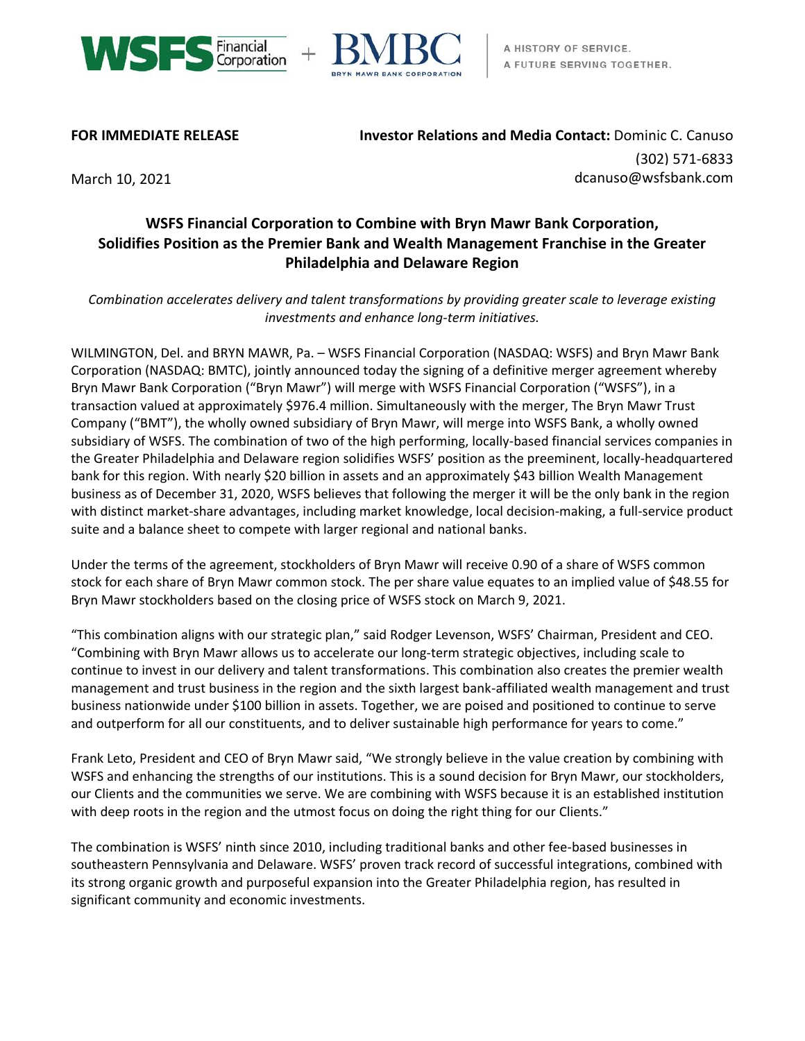



**FOR IMMEDIATE RELEASE Investor Relations and Media Contact:** Dominic C. Canuso (302) 571-6833 March 10, 2021 **March 10, 2021** and the community of the community of the community of the community of the community of the community of the community of the community of the community of the community of the community of

# **WSFS Financial Corporation to Combine with Bryn Mawr Bank Corporation, Solidifies Position as the Premier Bank and Wealth Management Franchise in the Greater Philadelphia and Delaware Region**

*Combination accelerates delivery and talent transformations by providing greater scale to leverage existing investments and enhance long-term initiatives.*

WILMINGTON, Del. and BRYN MAWR, Pa. – WSFS Financial Corporation (NASDAQ: WSFS) and Bryn Mawr Bank Corporation (NASDAQ: BMTC), jointly announced today the signing of a definitive merger agreement whereby Bryn Mawr Bank Corporation ("Bryn Mawr") will merge with WSFS Financial Corporation ("WSFS"), in a transaction valued at approximately \$976.4 million. Simultaneously with the merger, The Bryn Mawr Trust Company ("BMT"), the wholly owned subsidiary of Bryn Mawr, will merge into WSFS Bank, a wholly owned subsidiary of WSFS. The combination of two of the high performing, locally-based financial services companies in the Greater Philadelphia and Delaware region solidifies WSFS' position as the preeminent, locally-headquartered bank for this region. With nearly \$20 billion in assets and an approximately \$43 billion Wealth Management business as of December 31, 2020, WSFS believes that following the merger it will be the only bank in the region with distinct market-share advantages, including market knowledge, local decision-making, a full-service product suite and a balance sheet to compete with larger regional and national banks.

Under the terms of the agreement, stockholders of Bryn Mawr will receive 0.90 of a share of WSFS common stock for each share of Bryn Mawr common stock. The per share value equates to an implied value of \$48.55 for Bryn Mawr stockholders based on the closing price of WSFS stock on March 9, 2021.

"This combination aligns with our strategic plan," said Rodger Levenson, WSFS' Chairman, President and CEO. "Combining with Bryn Mawr allows us to accelerate our long-term strategic objectives, including scale to continue to invest in our delivery and talent transformations. This combination also creates the premier wealth management and trust business in the region and the sixth largest bank-affiliated wealth management and trust business nationwide under \$100 billion in assets. Together, we are poised and positioned to continue to serve and outperform for all our constituents, and to deliver sustainable high performance for years to come."

Frank Leto, President and CEO of Bryn Mawr said, "We strongly believe in the value creation by combining with WSFS and enhancing the strengths of our institutions. This is a sound decision for Bryn Mawr, our stockholders, our Clients and the communities we serve. We are combining with WSFS because it is an established institution with deep roots in the region and the utmost focus on doing the right thing for our Clients."

The combination is WSFS' ninth since 2010, including traditional banks and other fee-based businesses in southeastern Pennsylvania and Delaware. WSFS' proven track record of successful integrations, combined with its strong organic growth and purposeful expansion into the Greater Philadelphia region, has resulted in significant community and economic investments.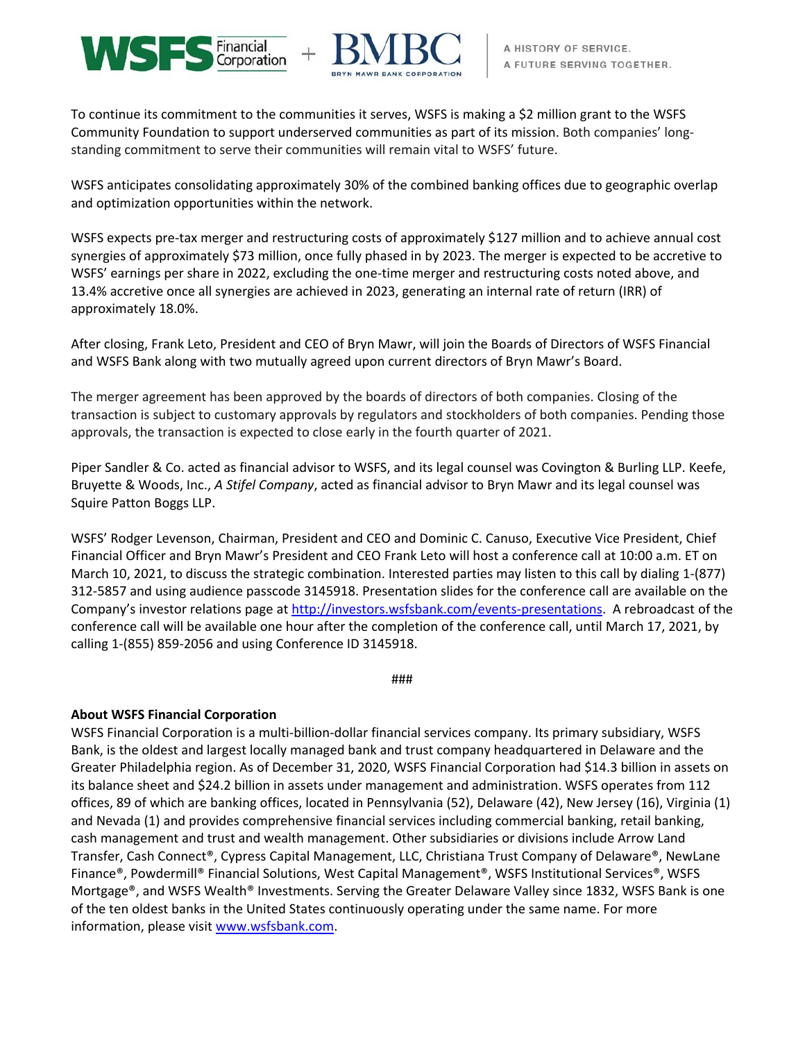



To continue its commitment to the communities it serves, WSFS is making a \$2 million grant to the WSFS Community Foundation to support underserved communities as part of its mission. Both companies' longstanding commitment to serve their communities will remain vital to WSFS' future.

WSFS anticipates consolidating approximately 30% of the combined banking offices due to geographic overlap and optimization opportunities within the network.

WSFS expects pre-tax merger and restructuring costs of approximately \$127 million and to achieve annual cost synergies of approximately \$73 million, once fully phased in by 2023. The merger is expected to be accretive to WSFS' earnings per share in 2022, excluding the one-time merger and restructuring costs noted above, and 13.4% accretive once all synergies are achieved in 2023, generating an internal rate of return (IRR) of approximately 18.0%.

After closing, Frank Leto, President and CEO of Bryn Mawr, will join the Boards of Directors of WSFS Financial and WSFS Bank along with two mutually agreed upon current directors of Bryn Mawr's Board.

The merger agreement has been approved by the boards of directors of both companies. Closing of the transaction is subject to customary approvals by regulators and stockholders of both companies. Pending those approvals, the transaction is expected to close early in the fourth quarter of 2021.

Piper Sandler & Co. acted as financial advisor to WSFS, and its legal counsel was Covington & Burling LLP. Keefe, Bruyette & Woods, Inc., *A Stifel Company*, acted as financial advisor to Bryn Mawr and its legal counsel was Squire Patton Boggs LLP.

WSFS' Rodger Levenson, Chairman, President and CEO and Dominic C. Canuso, Executive Vice President, Chief Financial Officer and Bryn Mawr's President and CEO Frank Leto will host a conference call at 10:00 a.m. ET on March 10, 2021, to discuss the strategic combination. Interested parties may listen to this call by dialing 1-(877) 312-5857 and using audience passcode 3145918. Presentation slides for the conference call are available on the Company's investor relations page at [http://investors.wsfsbank.com/events-presentations.](http://investors.wsfsbank.com/events-presentations) A rebroadcast of the conference call will be available one hour after the completion of the conference call, until March 17, 2021, by calling 1-(855) 859-2056 and using Conference ID 3145918.

###

# **About WSFS Financial Corporation**

WSFS Financial Corporation is a multi-billion-dollar financial services company. Its primary subsidiary, WSFS Bank, is the oldest and largest locally managed bank and trust company headquartered in Delaware and the Greater Philadelphia region. As of December 31, 2020, WSFS Financial Corporation had \$14.3 billion in assets on its balance sheet and \$24.2 billion in assets under management and administration. WSFS operates from 112 offices, 89 of which are banking offices, located in Pennsylvania (52), Delaware (42), New Jersey (16), Virginia (1) and Nevada (1) and provides comprehensive financial services including commercial banking, retail banking, cash management and trust and wealth management. Other subsidiaries or divisions include Arrow Land Transfer, Cash Connect®, Cypress Capital Management, LLC, Christiana Trust Company of Delaware®, NewLane Finance®, Powdermill® Financial Solutions, West Capital Management®, WSFS Institutional Services®, WSFS Mortgage®, and WSFS Wealth® Investments. Serving the Greater Delaware Valley since 1832, WSFS Bank is one of the ten oldest banks in the United States continuously operating under the same name. For more information, please visit [www.wsfsbank.com.](http://www.wsfsbank.com/)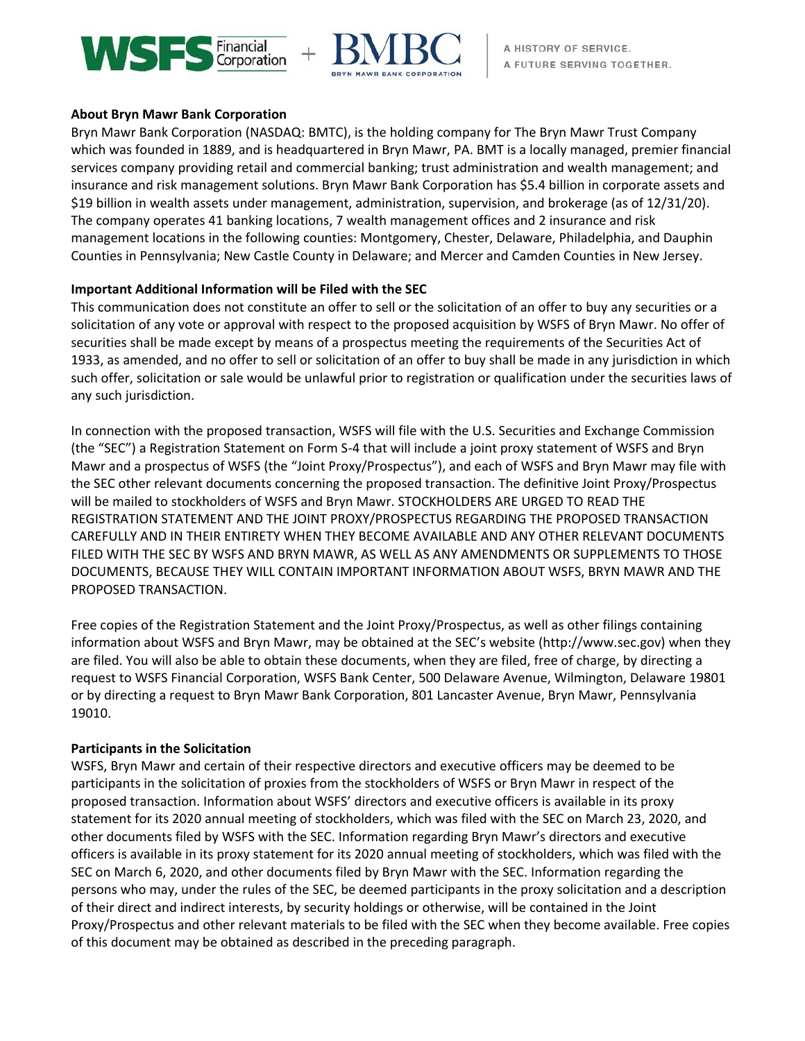



### **About Bryn Mawr Bank Corporation**

Bryn Mawr Bank Corporation (NASDAQ: BMTC), is the holding company for The Bryn Mawr Trust Company which was founded in 1889, and is headquartered in Bryn Mawr, PA. BMT is a locally managed, premier financial services company providing retail and commercial banking; trust administration and wealth management; and insurance and risk management solutions. Bryn Mawr Bank Corporation has \$5.4 billion in corporate assets and \$19 billion in wealth assets under management, administration, supervision, and brokerage (as of 12/31/20). The company operates 41 banking locations, 7 wealth management offices and 2 insurance and risk management locations in the following counties: Montgomery, Chester, Delaware, Philadelphia, and Dauphin Counties in Pennsylvania; New Castle County in Delaware; and Mercer and Camden Counties in New Jersey.

## **Important Additional Information will be Filed with the SEC**

This communication does not constitute an offer to sell or the solicitation of an offer to buy any securities or a solicitation of any vote or approval with respect to the proposed acquisition by WSFS of Bryn Mawr. No offer of securities shall be made except by means of a prospectus meeting the requirements of the Securities Act of 1933, as amended, and no offer to sell or solicitation of an offer to buy shall be made in any jurisdiction in which such offer, solicitation or sale would be unlawful prior to registration or qualification under the securities laws of any such jurisdiction.

In connection with the proposed transaction, WSFS will file with the U.S. Securities and Exchange Commission (the "SEC") a Registration Statement on Form S-4 that will include a joint proxy statement of WSFS and Bryn Mawr and a prospectus of WSFS (the "Joint Proxy/Prospectus"), and each of WSFS and Bryn Mawr may file with the SEC other relevant documents concerning the proposed transaction. The definitive Joint Proxy/Prospectus will be mailed to stockholders of WSFS and Bryn Mawr. STOCKHOLDERS ARE URGED TO READ THE REGISTRATION STATEMENT AND THE JOINT PROXY/PROSPECTUS REGARDING THE PROPOSED TRANSACTION CAREFULLY AND IN THEIR ENTIRETY WHEN THEY BECOME AVAILABLE AND ANY OTHER RELEVANT DOCUMENTS FILED WITH THE SEC BY WSFS AND BRYN MAWR, AS WELL AS ANY AMENDMENTS OR SUPPLEMENTS TO THOSE DOCUMENTS, BECAUSE THEY WILL CONTAIN IMPORTANT INFORMATION ABOUT WSFS, BRYN MAWR AND THE PROPOSED TRANSACTION.

Free copies of the Registration Statement and the Joint Proxy/Prospectus, as well as other filings containing information about WSFS and Bryn Mawr, may be obtained at the SEC's website (http://www.sec.gov) when they are filed. You will also be able to obtain these documents, when they are filed, free of charge, by directing a request to WSFS Financial Corporation, WSFS Bank Center, 500 Delaware Avenue, Wilmington, Delaware 19801 or by directing a request to Bryn Mawr Bank Corporation, 801 Lancaster Avenue, Bryn Mawr, Pennsylvania 19010.

#### **Participants in the Solicitation**

WSFS, Bryn Mawr and certain of their respective directors and executive officers may be deemed to be participants in the solicitation of proxies from the stockholders of WSFS or Bryn Mawr in respect of the proposed transaction. Information about WSFS' directors and executive officers is available in its proxy statement for its 2020 annual meeting of stockholders, which was filed with the SEC on March 23, 2020, and other documents filed by WSFS with the SEC. Information regarding Bryn Mawr's directors and executive officers is available in its proxy statement for its 2020 annual meeting of stockholders, which was filed with the SEC on March 6, 2020, and other documents filed by Bryn Mawr with the SEC. Information regarding the persons who may, under the rules of the SEC, be deemed participants in the proxy solicitation and a description of their direct and indirect interests, by security holdings or otherwise, will be contained in the Joint Proxy/Prospectus and other relevant materials to be filed with the SEC when they become available. Free copies of this document may be obtained as described in the preceding paragraph.